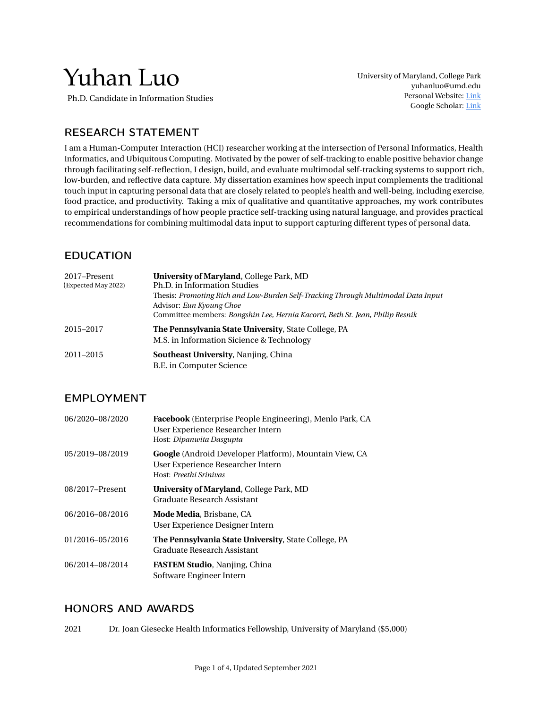# Yuhan Luo

Ph.D. Candidate in Information Studies

University of Maryland, College Park [yuhanluo@umd.edu](mailto:yuhanluo@umd.edu) Personal Website: [Link](https://www.terpconnect.umd.edu/~yuhanluo/) Google Scholar: [Link](https://scholar.google.com/citations?user=TyPGkP8AAAAJ&hl=en)

# RESEARCH STATEMENT

I am a Human-Computer Interaction (HCI) researcher working at the intersection of Personal Informatics, Health Informatics, and Ubiquitous Computing. Motivated by the power of self-tracking to enable positive behavior change through facilitating self-reflection, I design, build, and evaluate multimodal self-tracking systems to support rich, low-burden, and reflective data capture. My dissertation examines how speech input complements the traditional touch input in capturing personal data that are closely related to people's health and well-being, including exercise, food practice, and productivity. Taking a mix of qualitative and quantitative approaches, my work contributes to empirical understandings of how people practice self-tracking using natural language, and provides practical recommendations for combining multimodal data input to support capturing different types of personal data.

# EDUCATION

| 2017–Present<br>(Expected May 2022) | University of Maryland, College Park, MD<br>Ph.D. in Information Studies<br>Thesis: Promoting Rich and Low-Burden Self-Tracking Through Multimodal Data Input<br>Advisor: Eun Kyoung Choe<br>Committee members: Bongshin Lee, Hernia Kacorri, Beth St. Jean, Philip Resnik |
|-------------------------------------|----------------------------------------------------------------------------------------------------------------------------------------------------------------------------------------------------------------------------------------------------------------------------|
| 2015-2017                           | The Pennsylvania State University, State College, PA<br>M.S. in Information Sicience & Technology                                                                                                                                                                          |
| 2011-2015                           | <b>Southeast University, Nanjing, China</b><br>B.E. in Computer Science                                                                                                                                                                                                    |

# EMPLOYMENT

| 06/2020-08/2020 | Facebook (Enterprise People Engineering), Menlo Park, CA<br>User Experience Researcher Intern<br>Host: Dipanwita Dasgupta           |
|-----------------|-------------------------------------------------------------------------------------------------------------------------------------|
| 05/2019-08/2019 | <b>Google</b> (Android Developer Platform), Mountain View, CA<br>User Experience Researcher Intern<br>Host: <i>Preethi Srinivas</i> |
| 08/2017-Present | <b>University of Maryland, College Park, MD</b><br>Graduate Research Assistant                                                      |
| 06/2016-08/2016 | <b>Mode Media, Brisbane, CA</b><br>User Experience Designer Intern                                                                  |
| 01/2016-05/2016 | The Pennsylvania State University, State College, PA<br>Graduate Research Assistant                                                 |
| 06/2014-08/2014 | <b>FASTEM Studio, Nanjing, China</b><br>Software Engineer Intern                                                                    |

## HONORS AND AWARDS

2021 Dr. Joan Giesecke Health Informatics Fellowship, University of Maryland (\$5,000)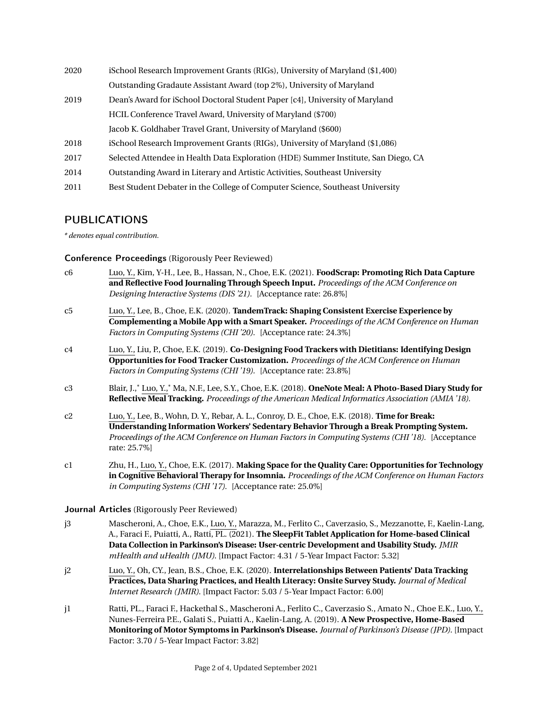iSchool Research Improvement Grants (RIGs), University of Maryland (\$1,400) Outstanding Gradaute Assistant Award (top 2%), University of Maryland Dean's Award for iSchool Doctoral Student Paper [c4], University of Maryland HCIL Conference Travel Award, University of Maryland (\$700) Jacob K. Goldhaber Travel Grant, University of Maryland (\$600) iSchool Research Improvement Grants (RIGs), University of Maryland (\$1,086) Selected Attendee in Health Data Exploration (HDE) Summer Institute, San Diego, CA Outstanding Award in Literary and Artistic Activities, Southeast University Best Student Debater in the College of Computer Science, Southeast University

## PUBLICATIONS

*\* denotes equal contribution.*

## Conference Proceedings (Rigorously Peer Reviewed)

- c6 Luo, Y., Kim, Y-H., Lee, B., Hassan, N., Choe, E.K. (2021). **FoodScrap: Promoting Rich Data Capture and Reflective Food Journaling Through Speech Input.** *Proceedings of the ACM Conference on Designing Interactive Systems (DIS '21).* [Acceptance rate: 26.8%]
- c5 Luo, Y., Lee, B., Choe, E.K. (2020). **TandemTrack: Shaping Consistent Exercise Experience by Complementing a Mobile App with a Smart Speaker.** *Proceedings of the ACM Conference on Human Factors in Computing Systems (CHI '20).* [Acceptance rate: 24.3%]
- c4 Luo, Y., Liu, P., Choe, E.K. (2019). **Co-Designing Food Trackers with Dietitians: Identifying Design Opportunities for Food Tracker Customization.** *Proceedings of the ACM Conference on Human Factors in Computing Systems (CHI '19).* [Acceptance rate: 23.8%]
- c3 Blair, J.,\* Luo, Y.,\* Ma, N.F., Lee, S.Y., Choe, E.K. (2018). **OneNote Meal: A Photo-Based Diary Study for Reflective Meal Tracking.** *Proceedings of the American Medical Informatics Association (AMIA '18).*
- c2 Luo, Y., Lee, B., Wohn, D. Y., Rebar, A. L., Conroy, D. E., Choe, E.K. (2018). **Time for Break: Understanding Information Workers' Sedentary Behavior Through a Break Prompting System.** *Proceedings of the ACM Conference on Human Factors in Computing Systems (CHI '18).* [Acceptance rate: 25.7%]
- c1 Zhu, H., Luo, Y., Choe, E.K. (2017). **Making Space for the Quality Care: Opportunities for Technology in Cognitive Behavioral Therapy for Insomnia.** *Proceedings of the ACM Conference on Human Factors in Computing Systems (CHI '17).* [Acceptance rate: 25.0%]

### Journal Articles (Rigorously Peer Reviewed)

- j3 Mascheroni, A., Choe, E.K., Luo, Y., Marazza, M., Ferlito C., Caverzasio, S., Mezzanotte, F., Kaelin-Lang, A., Faraci F., Puiatti, A., Ratti, PL. (2021). **The SleepFit Tablet Application for Home-based Clinical Data Collection in Parkinson's Disease: User-centric Development and Usability Study.** *JMIR mHealth and uHealth (JMU)*. [Impact Factor: 4.31 / 5-Year Impact Factor: 5.32]
- j2 Luo, Y., Oh, CY., Jean, B.S., Choe, E.K. (2020). **Interrelationships Between Patients' Data Tracking Practices, Data Sharing Practices, and Health Literacy: Onsite Survey Study.** *Journal of Medical Internet Research (JMIR)*. [Impact Factor: 5.03 / 5-Year Impact Factor: 6.00]
- j1 Ratti, PL., Faraci F., Hackethal S., Mascheroni A., Ferlito C., Caverzasio S., Amato N., Choe E.K., Luo, Y., Nunes-Ferreira P.E., Galati S., Puiatti A., Kaelin-Lang, A. (2019). **A New Prospective, Home-Based Monitoring of Motor Symptoms in Parkinson's Disease.** *Journal of Parkinson's Disease (JPD)*. [Impact Factor: 3.70 / 5-Year Impact Factor: 3.82]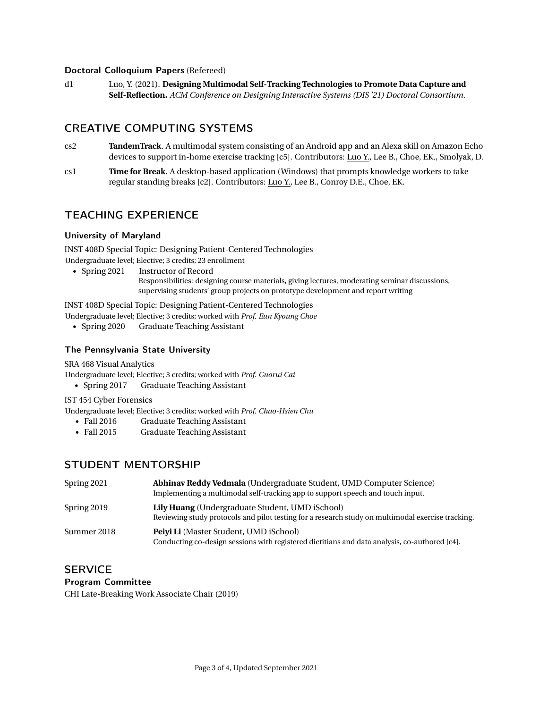#### Doctoral Colloquium Papers (Refereed)

d1 Luo, Y. (2021). **Designing Multimodal Self-Tracking Technologies to Promote Data Capture and Self-Reflection.** *ACM Conference on Designing Interactive Systems (DIS '21) Doctoral Consortium*.

# CREATIVE COMPUTING SYSTEMS

- cs2 **TandemTrack**. A multimodal system consisting of an Android app and an Alexa skill on Amazon Echo devices to support in-home exercise tracking [c5]. Contributors: Luo Y., Lee B., Choe, EK., Smolyak, D.
- cs1 **Time for Break**. A desktop-based application (Windows) that prompts knowledge workers to take regular standing breaks [c2]. Contributors: Luo Y., Lee B., Conroy D.E., Choe, EK.

# TEACHING EXPERIENCE

## University of Maryland

INST 408D Special Topic: Designing Patient-Centered Technologies Undergraduate level; Elective; 3 credits; 23 enrollment

- Spring 2021 Instructor of Record
	- Responsibilities: designing course materials, giving lectures, moderating seminar discussions, supervising students' group projects on prototype development and report writing

INST 408D Special Topic: Designing Patient-Centered Technologies

Undergraduate level; Elective; 3 credits; worked with *Prof. Eun Kyoung Choe*

• Spring 2020 Graduate Teaching Assistant

## The Pennsylvania State University

SRA 468 Visual Analytics

Undergraduate level; Elective; 3 credits; worked with *Prof. Guorui Cai*

• Spring 2017 Graduate Teaching Assistant

IST 454 Cyber Forensics

Undergraduate level; Elective; 3 credits; worked with *Prof. Chao-Hsien Chu*

- Fall 2016 Graduate Teaching Assistant
- Fall 2015 Graduate Teaching Assistant

## STUDENT MENTORSHIP

| Spring 2021 | <b>Abhinav Reddy Vedmala</b> (Undergraduate Student, UMD Computer Science)<br>Implementing a multimodal self-tracking app to support speech and touch input. |
|-------------|--------------------------------------------------------------------------------------------------------------------------------------------------------------|
| Spring 2019 | <b>Lily Huang</b> (Undergraduate Student, UMD iSchool)<br>Reviewing study protocols and pilot testing for a research study on multimodal exercise tracking.  |
| Summer 2018 | <b>Peivi Li</b> (Master Student, UMD iSchool)<br>Conducting co-design sessions with registered dietitians and data analysis, co-authored [c4].               |

## **SERVICE**

### Program Committee

CHI Late-Breaking Work Associate Chair (2019)